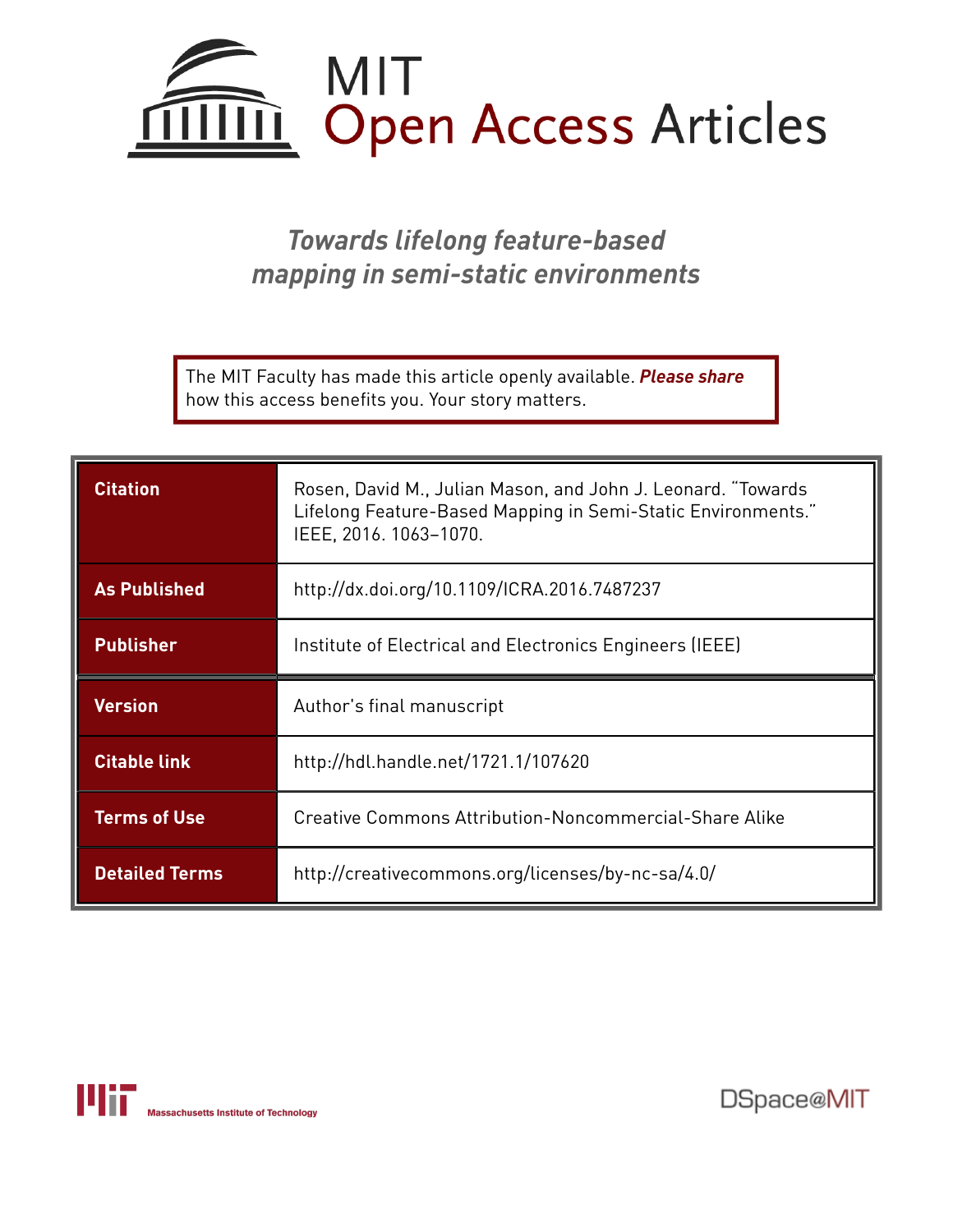

# *Towards lifelong feature-based mapping in semi-static environments*

The MIT Faculty has made this article openly available. *[Please](https://libraries.mit.edu/forms/dspace-oa-articles.html) share* how this access benefits you. Your story matters.

| <b>Citation</b>       | Rosen, David M., Julian Mason, and John J. Leonard. "Towards<br>Lifelong Feature-Based Mapping in Semi-Static Environments."<br>IEEE, 2016. 1063-1070. |
|-----------------------|--------------------------------------------------------------------------------------------------------------------------------------------------------|
| <b>As Published</b>   | http://dx.doi.org/10.1109/ICRA.2016.7487237                                                                                                            |
| <b>Publisher</b>      | Institute of Electrical and Electronics Engineers (IEEE)                                                                                               |
| <b>Version</b>        | Author's final manuscript                                                                                                                              |
| <b>Citable link</b>   | http://hdl.handle.net/1721.1/107620                                                                                                                    |
| <b>Terms of Use</b>   | Creative Commons Attribution-Noncommercial-Share Alike                                                                                                 |
| <b>Detailed Terms</b> | http://creativecommons.org/licenses/by-nc-sa/4.0/                                                                                                      |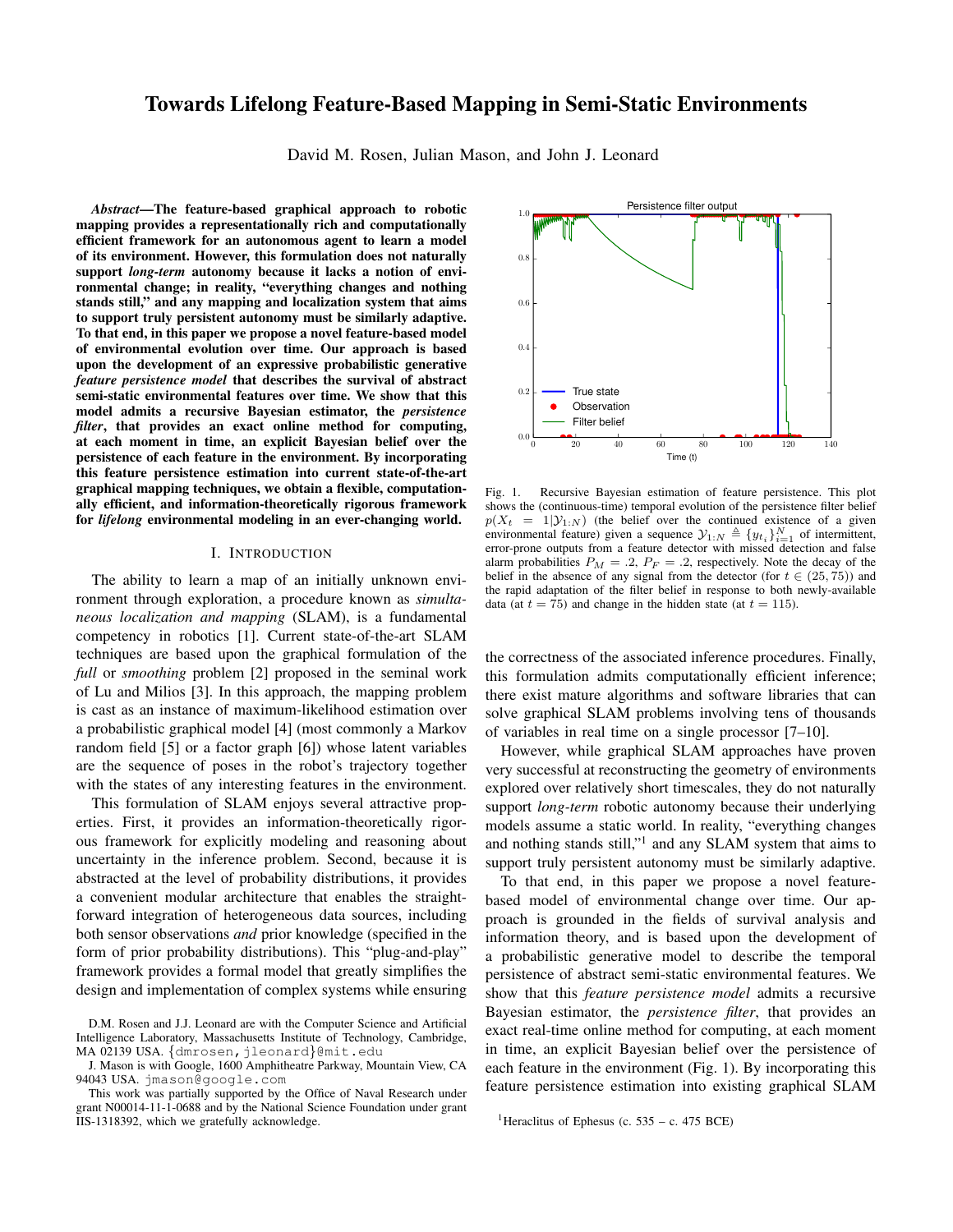# Towards Lifelong Feature-Based Mapping in Semi-Static Environments

David M. Rosen, Julian Mason, and John J. Leonard

*Abstract*—The feature-based graphical approach to robotic mapping provides a representationally rich and computationally efficient framework for an autonomous agent to learn a model of its environment. However, this formulation does not naturally support *long-term* autonomy because it lacks a notion of environmental change; in reality, "everything changes and nothing stands still," and any mapping and localization system that aims to support truly persistent autonomy must be similarly adaptive. To that end, in this paper we propose a novel feature-based model of environmental evolution over time. Our approach is based upon the development of an expressive probabilistic generative *feature persistence model* that describes the survival of abstract semi-static environmental features over time. We show that this model admits a recursive Bayesian estimator, the *persistence filter*, that provides an exact online method for computing, at each moment in time, an explicit Bayesian belief over the persistence of each feature in the environment. By incorporating this feature persistence estimation into current state-of-the-art graphical mapping techniques, we obtain a flexible, computationally efficient, and information-theoretically rigorous framework for *lifelong* environmental modeling in an ever-changing world.

#### I. INTRODUCTION

The ability to learn a map of an initially unknown environment through exploration, a procedure known as *simultaneous localization and mapping* (SLAM), is a fundamental competency in robotics [\[1\]](#page-8-0). Current state-of-the-art SLAM techniques are based upon the graphical formulation of the *full* or *smoothing* problem [\[2\]](#page-8-1) proposed in the seminal work of Lu and Milios [\[3\]](#page-8-2). In this approach, the mapping problem is cast as an instance of maximum-likelihood estimation over a probabilistic graphical model [\[4\]](#page-8-3) (most commonly a Markov random field [\[5\]](#page-8-4) or a factor graph [\[6\]](#page-8-5)) whose latent variables are the sequence of poses in the robot's trajectory together with the states of any interesting features in the environment.

This formulation of SLAM enjoys several attractive properties. First, it provides an information-theoretically rigorous framework for explicitly modeling and reasoning about uncertainty in the inference problem. Second, because it is abstracted at the level of probability distributions, it provides a convenient modular architecture that enables the straightforward integration of heterogeneous data sources, including both sensor observations *and* prior knowledge (specified in the form of prior probability distributions). This "plug-and-play" framework provides a formal model that greatly simplifies the design and implementation of complex systems while ensuring



<span id="page-1-1"></span>Fig. 1. Recursive Bayesian estimation of feature persistence. This plot shows the (continuous-time) temporal evolution of the persistence filter belief  $p(X_t = 1 | Y_{1:N})$  (the belief over the continued existence of a given environmental feature) given a sequence  $\mathcal{Y}_{1:N} \triangleq \{y_{t_i}\}_{i=1}^N$  of intermittent, error-prone outputs from a feature detector with missed detection and false alarm probabilities  $P_M = .2$ ,  $P_F = .2$ , respectively. Note the decay of the belief in the absence of any signal from the detector (for  $t \in (25, 75)$ ) and the rapid adaptation of the filter belief in response to both newly-available data (at  $t = 75$ ) and change in the hidden state (at  $t = 115$ ).

the correctness of the associated inference procedures. Finally, this formulation admits computationally efficient inference; there exist mature algorithms and software libraries that can solve graphical SLAM problems involving tens of thousands of variables in real time on a single processor [\[7](#page-8-6)[–10\]](#page-8-7).

However, while graphical SLAM approaches have proven very successful at reconstructing the geometry of environments explored over relatively short timescales, they do not naturally support *long-term* robotic autonomy because their underlying models assume a static world. In reality, "everything changes and nothing stands still,"<sup>[1](#page-1-0)</sup> and any SLAM system that aims to support truly persistent autonomy must be similarly adaptive.

To that end, in this paper we propose a novel featurebased model of environmental change over time. Our approach is grounded in the fields of survival analysis and information theory, and is based upon the development of a probabilistic generative model to describe the temporal persistence of abstract semi-static environmental features. We show that this *feature persistence model* admits a recursive Bayesian estimator, the *persistence filter*, that provides an exact real-time online method for computing, at each moment in time, an explicit Bayesian belief over the persistence of each feature in the environment (Fig. [1\)](#page-1-1). By incorporating this feature persistence estimation into existing graphical SLAM

D.M. Rosen and J.J. Leonard are with the Computer Science and Artificial Intelligence Laboratory, Massachusetts Institute of Technology, Cambridge, MA 02139 USA. {dmrosen, jleonard}@mit.edu

J. Mason is with Google, 1600 Amphitheatre Parkway, Mountain View, CA 94043 USA. jmason@google.com

This work was partially supported by the Office of Naval Research under grant N00014-11-1-0688 and by the National Science Foundation under grant IIS-1318392, which we gratefully acknowledge.

<span id="page-1-0"></span><sup>&</sup>lt;sup>1</sup>Heraclitus of Ephesus (c.  $535 - c$ . 475 BCE)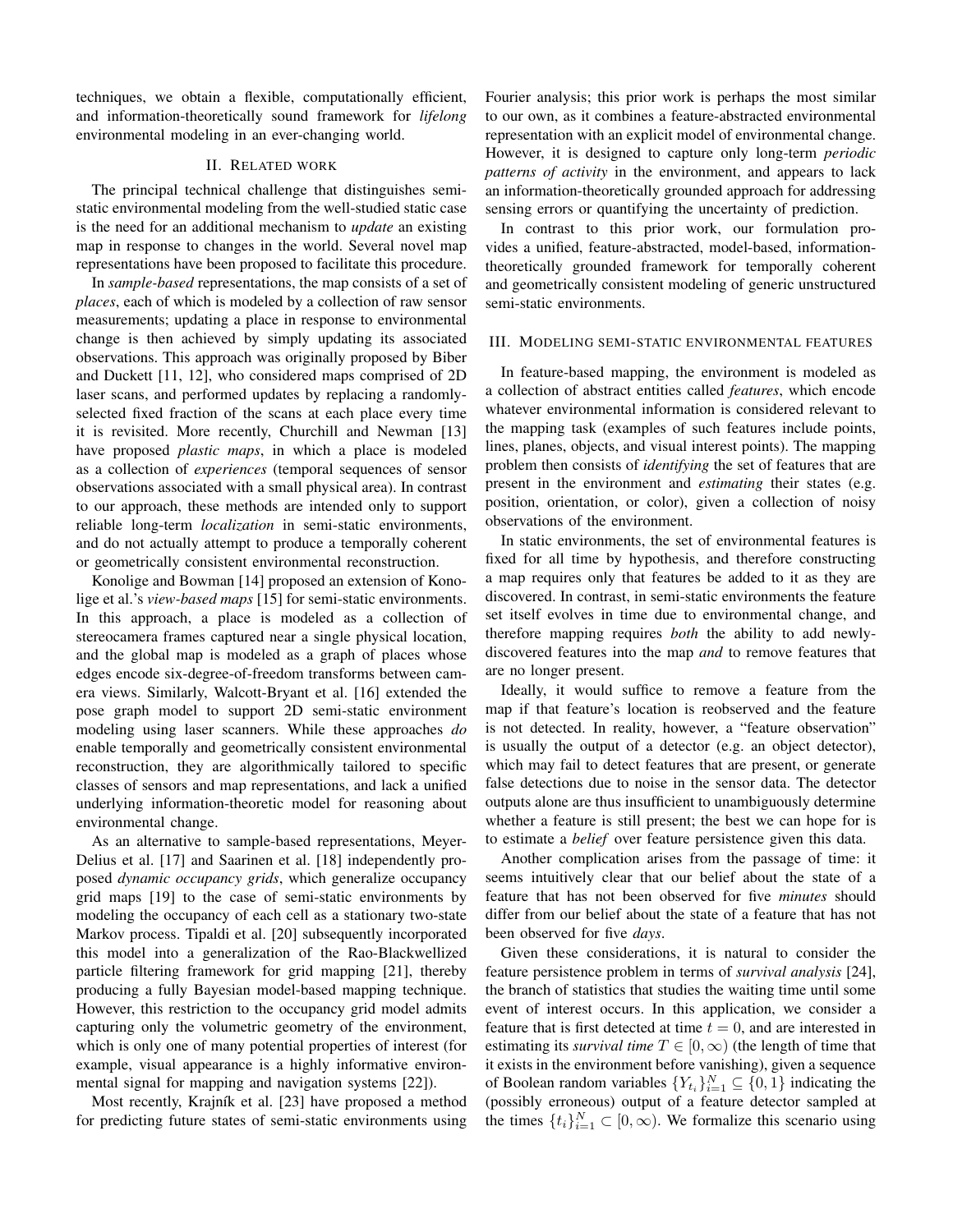techniques, we obtain a flexible, computationally efficient, and information-theoretically sound framework for *lifelong* environmental modeling in an ever-changing world.

# II. RELATED WORK

The principal technical challenge that distinguishes semistatic environmental modeling from the well-studied static case is the need for an additional mechanism to *update* an existing map in response to changes in the world. Several novel map representations have been proposed to facilitate this procedure.

In *sample-based* representations, the map consists of a set of *places*, each of which is modeled by a collection of raw sensor measurements; updating a place in response to environmental change is then achieved by simply updating its associated observations. This approach was originally proposed by Biber and Duckett [\[11,](#page-8-8) [12\]](#page-8-9), who considered maps comprised of 2D laser scans, and performed updates by replacing a randomlyselected fixed fraction of the scans at each place every time it is revisited. More recently, Churchill and Newman [\[13\]](#page-8-10) have proposed *plastic maps*, in which a place is modeled as a collection of *experiences* (temporal sequences of sensor observations associated with a small physical area). In contrast to our approach, these methods are intended only to support reliable long-term *localization* in semi-static environments, and do not actually attempt to produce a temporally coherent or geometrically consistent environmental reconstruction.

Konolige and Bowman [\[14\]](#page-8-11) proposed an extension of [Kono](#page-8-12)[lige et al.'](#page-8-12)s *view-based maps* [\[15\]](#page-8-12) for semi-static environments. In this approach, a place is modeled as a collection of stereocamera frames captured near a single physical location, and the global map is modeled as a graph of places whose edges encode six-degree-of-freedom transforms between camera views. Similarly, Walcott-Bryant et al. [\[16\]](#page-8-13) extended the pose graph model to support 2D semi-static environment modeling using laser scanners. While these approaches *do* enable temporally and geometrically consistent environmental reconstruction, they are algorithmically tailored to specific classes of sensors and map representations, and lack a unified underlying information-theoretic model for reasoning about environmental change.

As an alternative to sample-based representations, Meyer-Delius et al. [\[17\]](#page-8-14) and Saarinen et al. [\[18\]](#page-8-15) independently proposed *dynamic occupancy grids*, which generalize occupancy grid maps [\[19\]](#page-8-16) to the case of semi-static environments by modeling the occupancy of each cell as a stationary two-state Markov process. Tipaldi et al. [\[20\]](#page-8-17) subsequently incorporated this model into a generalization of the Rao-Blackwellized particle filtering framework for grid mapping [\[21\]](#page-8-18), thereby producing a fully Bayesian model-based mapping technique. However, this restriction to the occupancy grid model admits capturing only the volumetric geometry of the environment, which is only one of many potential properties of interest (for example, visual appearance is a highly informative environmental signal for mapping and navigation systems [\[22\]](#page-8-19)).

Most recently, Krajník et al. [\[23\]](#page-8-20) have proposed a method for predicting future states of semi-static environments using

Fourier analysis; this prior work is perhaps the most similar to our own, as it combines a feature-abstracted environmental representation with an explicit model of environmental change. However, it is designed to capture only long-term *periodic patterns of activity* in the environment, and appears to lack an information-theoretically grounded approach for addressing sensing errors or quantifying the uncertainty of prediction.

In contrast to this prior work, our formulation provides a unified, feature-abstracted, model-based, informationtheoretically grounded framework for temporally coherent and geometrically consistent modeling of generic unstructured semi-static environments.

#### III. MODELING SEMI-STATIC ENVIRONMENTAL FEATURES

In feature-based mapping, the environment is modeled as a collection of abstract entities called *features*, which encode whatever environmental information is considered relevant to the mapping task (examples of such features include points, lines, planes, objects, and visual interest points). The mapping problem then consists of *identifying* the set of features that are present in the environment and *estimating* their states (e.g. position, orientation, or color), given a collection of noisy observations of the environment.

In static environments, the set of environmental features is fixed for all time by hypothesis, and therefore constructing a map requires only that features be added to it as they are discovered. In contrast, in semi-static environments the feature set itself evolves in time due to environmental change, and therefore mapping requires *both* the ability to add newlydiscovered features into the map *and* to remove features that are no longer present.

Ideally, it would suffice to remove a feature from the map if that feature's location is reobserved and the feature is not detected. In reality, however, a "feature observation" is usually the output of a detector (e.g. an object detector), which may fail to detect features that are present, or generate false detections due to noise in the sensor data. The detector outputs alone are thus insufficient to unambiguously determine whether a feature is still present; the best we can hope for is to estimate a *belief* over feature persistence given this data.

Another complication arises from the passage of time: it seems intuitively clear that our belief about the state of a feature that has not been observed for five *minutes* should differ from our belief about the state of a feature that has not been observed for five *days*.

Given these considerations, it is natural to consider the feature persistence problem in terms of *survival analysis* [\[24\]](#page-8-21), the branch of statistics that studies the waiting time until some event of interest occurs. In this application, we consider a feature that is first detected at time  $t = 0$ , and are interested in estimating its *survival time*  $T \in [0, \infty)$  (the length of time that it exists in the environment before vanishing), given a sequence of Boolean random variables  $\{Y_{t_i}\}_{i=1}^N \subseteq \{0,1\}$  indicating the (possibly erroneous) output of a feature detector sampled at the times  $\{t_i\}_{i=1}^N \subset [0,\infty)$ . We formalize this scenario using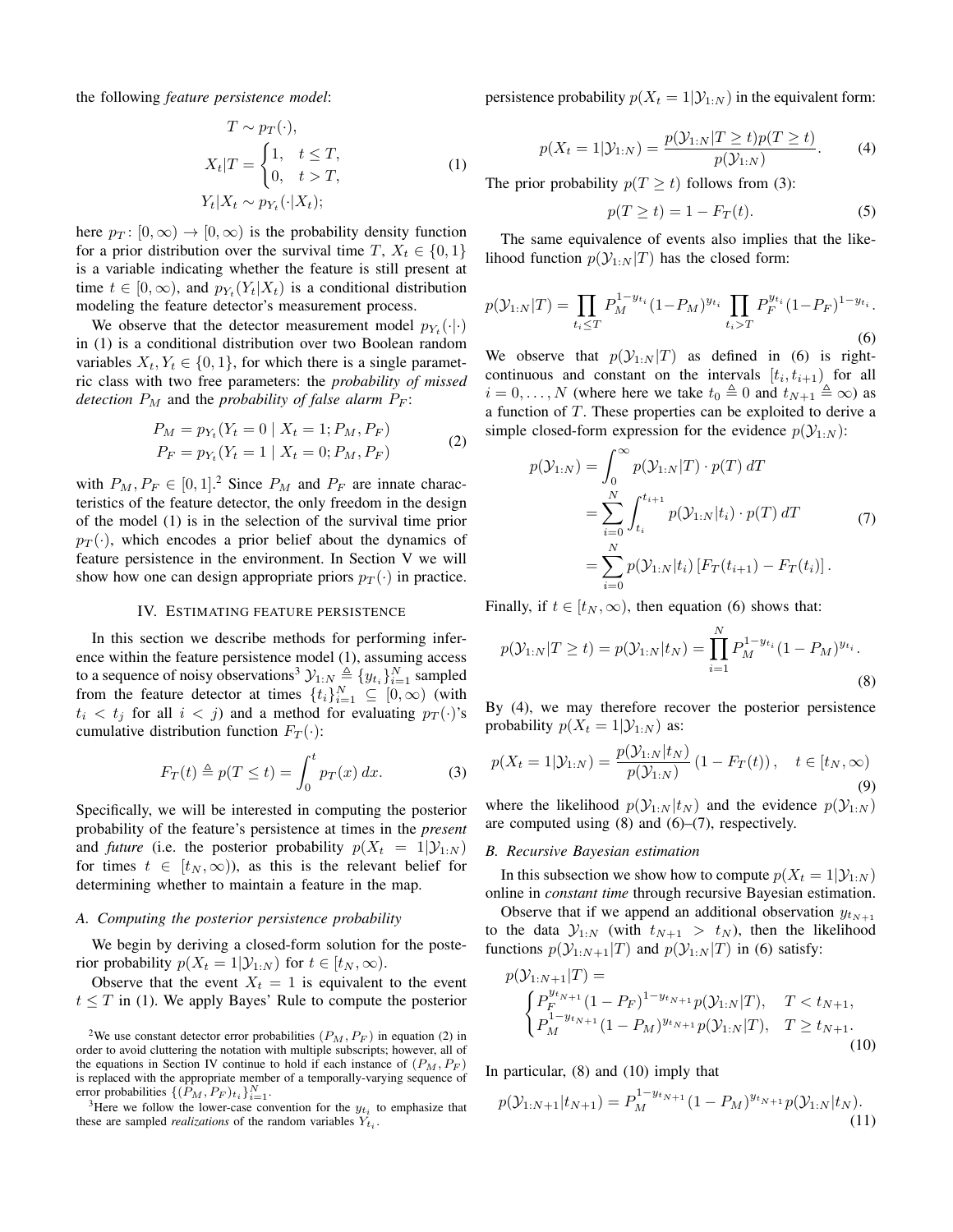the following *feature persistence model*:

<span id="page-3-0"></span>
$$
T \sim p_T(\cdot),
$$
  
\n
$$
X_t|T = \begin{cases} 1, & t \le T, \\ 0, & t > T, \end{cases}
$$
 (1)  
\n
$$
Y_t|X_t \sim p_{Y_t}(\cdot|X_t);
$$

here  $p_T : [0, \infty) \to [0, \infty)$  is the probability density function for a prior distribution over the survival time T,  $X_t \in \{0, 1\}$ is a variable indicating whether the feature is still present at time  $t \in [0, \infty)$ , and  $p_{Y_t}(Y_t | X_t)$  is a conditional distribution modeling the feature detector's measurement process.

We observe that the detector measurement model  $p_{Y_t}(\cdot|\cdot)$ in [\(1\)](#page-3-0) is a conditional distribution over two Boolean random variables  $X_t, Y_t \in \{0, 1\}$ , for which there is a single parametric class with two free parameters: the *probability of missed detection*  $P_M$  and the *probability of false alarm*  $P_F$ :

$$
P_M = p_{Y_t}(Y_t = 0 \mid X_t = 1; P_M, P_F)
$$
  
\n
$$
P_F = p_{Y_t}(Y_t = 1 \mid X_t = 0; P_M, P_F)
$$
\n(2)

with  $P_M, P_F \in [0, 1]^2$  $P_M, P_F \in [0, 1]^2$  Since  $P_M$  and  $P_F$  are innate characteristics of the feature detector, the only freedom in the design of the model [\(1\)](#page-3-0) is in the selection of the survival time prior  $p_T(\cdot)$ , which encodes a prior belief about the dynamics of feature persistence in the environment. In Section [V](#page-4-0) we will show how one can design appropriate priors  $p_T(\cdot)$  in practice.

#### IV. ESTIMATING FEATURE PERSISTENCE

<span id="page-3-4"></span>In this section we describe methods for performing inference within the feature persistence model [\(1\)](#page-3-0), assuming access to a sequence of noisy observations<sup>[3](#page-3-2)</sup>  $\mathcal{Y}_{1:N} \triangleq \{y_{t_i}\}_{i=1}^N$  sampled from the feature detector at times  $\{t_i\}_{i=1}^N \subseteq [0,\infty)$  (with  $t_i < t_j$  for all  $i < j$ ) and a method for evaluating  $p_T(\cdot)$ 's cumulative distribution function  $F_T(\cdot)$ :

$$
F_T(t) \triangleq p(T \le t) = \int_0^t p_T(x) \, dx. \tag{3}
$$

Specifically, we will be interested in computing the posterior probability of the feature's persistence at times in the *present* and *future* (i.e. the posterior probability  $p(X_t = 1 | Y_{1:N})$ for times  $t \in [t_N, \infty)$ , as this is the relevant belief for determining whether to maintain a feature in the map.

#### *A. Computing the posterior persistence probability*

We begin by deriving a closed-form solution for the posterior probability  $p(X_t = 1 | Y_{1:N})$  for  $t \in [t_N, \infty)$ .

Observe that the event  $X_t = 1$  is equivalent to the event  $t \leq T$  in [\(1\)](#page-3-0). We apply Bayes' Rule to compute the posterior

<span id="page-3-2"></span><sup>3</sup>Here we follow the lower-case convention for the  $y_{t_i}$  to emphasize that these are sampled *realizations* of the random variables  $Y_{t_i}$ .

<span id="page-3-7"></span>persistence probability  $p(X_t = 1 | Y_{1:N})$  in the equivalent form:

$$
p(X_t = 1 | \mathcal{Y}_{1:N}) = \frac{p(\mathcal{Y}_{1:N} | T \ge t) p(T \ge t)}{p(\mathcal{Y}_{1:N})}.
$$
 (4)

The prior probability  $p(T \ge t)$  follows from [\(3\)](#page-3-5):

<span id="page-3-9"></span>
$$
p(T \ge t) = 1 - F_T(t). \tag{5}
$$

The same equivalence of events also implies that the likelihood function  $p(\mathcal{Y}_{1:N} | T)$  has the closed form:

<span id="page-3-6"></span>
$$
p(\mathcal{Y}_{1:N}|T) = \prod_{t_i \le T} P_M^{1-y_{t_i}} (1 - P_M)^{y_{t_i}} \prod_{t_i > T} P_F^{y_{t_i}} (1 - P_F)^{1 - y_{t_i}}.
$$
\n
$$
(6)
$$

<span id="page-3-3"></span>We observe that  $p(Y_{1:N} | T)$  as defined in [\(6\)](#page-3-6) is rightcontinuous and constant on the intervals  $[t_i, t_{i+1})$  for all  $i = 0, \ldots, N$  (where here we take  $t_0 \triangleq 0$  and  $t_{N+1} \triangleq \infty$ ) as a function of  $T$ . These properties can be exploited to derive a simple closed-form expression for the evidence  $p(Y_{1:N})$ :

$$
p(\mathcal{Y}_{1:N}) = \int_0^\infty p(\mathcal{Y}_{1:N}|T) \cdot p(T) \, dT
$$
  
= 
$$
\sum_{i=0}^N \int_{t_i}^{t_{i+1}} p(\mathcal{Y}_{1:N}|t_i) \cdot p(T) \, dT
$$
  
= 
$$
\sum_{i=0}^N p(\mathcal{Y}_{1:N}|t_i) [F_T(t_{i+1}) - F_T(t_i)].
$$
 (7)

Finally, if  $t \in [t_N, \infty)$ , then equation [\(6\)](#page-3-6) shows that:

<span id="page-3-8"></span>
$$
p(\mathcal{Y}_{1:N}|T \ge t) = p(\mathcal{Y}_{1:N}|t_N) = \prod_{i=1}^{N} P_M^{1-y_{t_i}} (1 - P_M)^{y_{t_i}}.
$$
\n(8)

<span id="page-3-5"></span>By [\(4\)](#page-3-7), we may therefore recover the posterior persistence probability  $p(X_t = 1 | \mathcal{Y}_{1:N})$  as:

<span id="page-3-12"></span>
$$
p(X_t = 1 | \mathcal{Y}_{1:N}) = \frac{p(\mathcal{Y}_{1:N} | t_N)}{p(\mathcal{Y}_{1:N})} (1 - F_T(t)), \quad t \in [t_N, \infty)
$$
\n(9)

where the likelihood  $p(\mathcal{Y}_{1:N} | t_N)$  and the evidence  $p(\mathcal{Y}_{1:N})$ are computed using  $(8)$  and  $(6)$ – $(7)$ , respectively.

#### *B. Recursive Bayesian estimation*

In this subsection we show how to compute  $p(X_t = 1 | Y_{1:N})$ online in *constant time* through recursive Bayesian estimation.

Observe that if we append an additional observation  $y_{t_{N+1}}$ to the data  $\mathcal{Y}_{1:N}$  (with  $t_{N+1} > t_N$ ), then the likelihood functions  $p(\mathcal{Y}_{1:N+1}|T)$  and  $p(\mathcal{Y}_{1:N}|T)$  in [\(6\)](#page-3-6) satisfy:

<span id="page-3-10"></span>
$$
p(\mathcal{Y}_{1:N+1}|T) =
$$
\n
$$
\begin{cases}\nP_F^{y_{t_{N+1}}}(1 - P_F)^{1 - y_{t_{N+1}}} p(\mathcal{Y}_{1:N}|T), & T < t_{N+1}, \\
P_M^{1 - y_{t_{N+1}}}(1 - P_M)^{y_{t_{N+1}}} p(\mathcal{Y}_{1:N}|T), & T \ge t_{N+1}.\n\end{cases}
$$
\n(10)

In particular, [\(8\)](#page-3-8) and [\(10\)](#page-3-10) imply that

<span id="page-3-11"></span>
$$
p(\mathcal{Y}_{1:N+1}|t_{N+1}) = P_M^{1-y_{t_{N+1}}}(1 - P_M)^{y_{t_{N+1}}} p(\mathcal{Y}_{1:N}|t_N).
$$
\n(11)

<span id="page-3-1"></span><sup>&</sup>lt;sup>2</sup>We use constant detector error probabilities  $(P_M, P_F)$  in equation [\(2\)](#page-3-3) in order to avoid cluttering the notation with multiple subscripts; however, all of the equations in Section [IV](#page-3-4) continue to hold if each instance of  $(P_M, P_F)$ is replaced with the appropriate member of a temporally-varying sequence of error probabilities  $\{(\overline{P}_M, P_F)_{t_i}\}_{i=1}^N$ .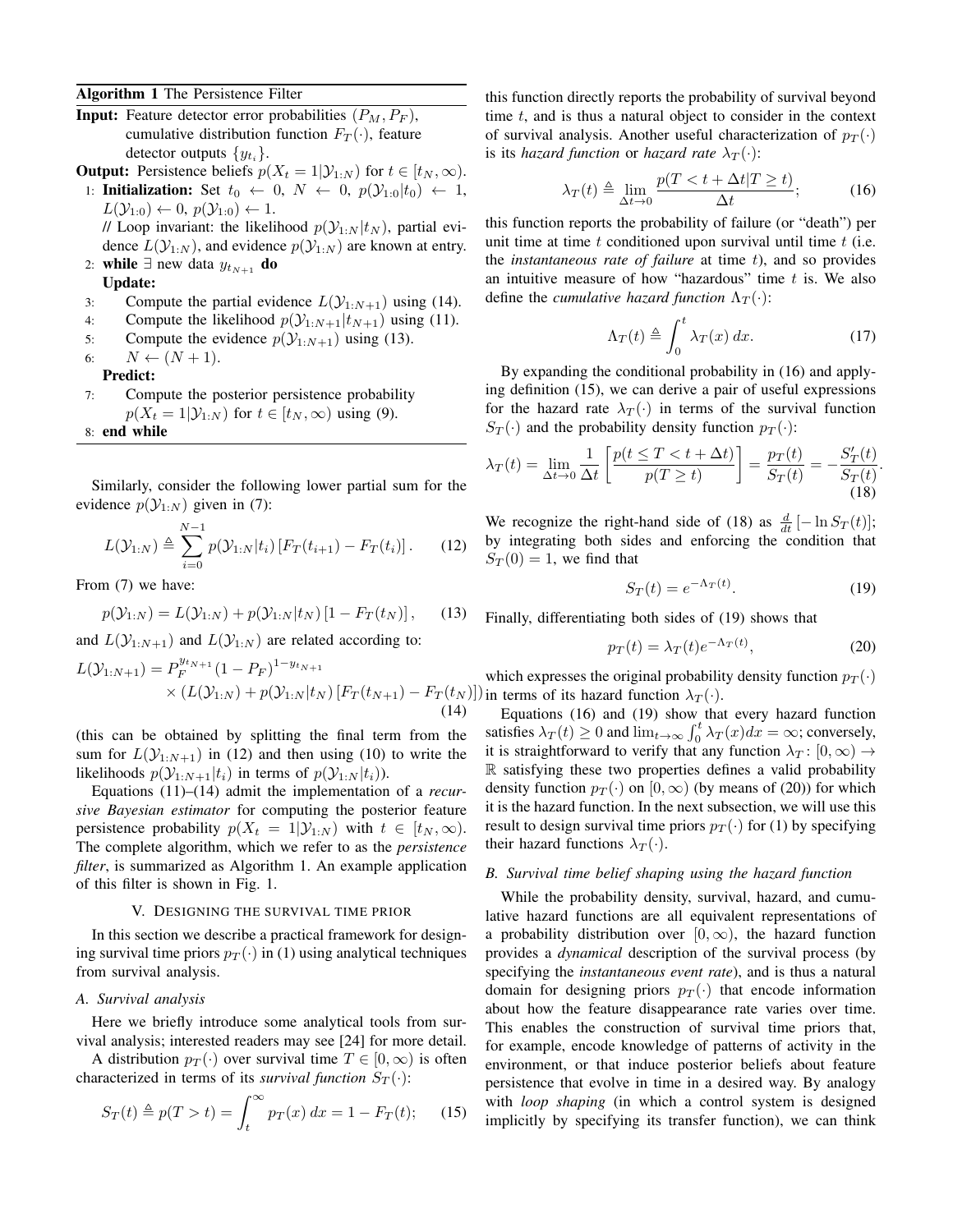- <span id="page-4-4"></span>**Input:** Feature detector error probabilities  $(P_M, P_F)$ , cumulative distribution function  $F_T(\cdot)$ , feature detector outputs  $\{y_{t_i}\}.$
- **Output:** Persistence beliefs  $p(X_t = 1 | \mathcal{Y}_{1:N})$  for  $t \in [t_N, \infty)$ .
- 1: **Initialization:** Set  $t_0 \leftarrow 0$ ,  $N \leftarrow 0$ ,  $p(\mathcal{Y}_{1:0}|t_0) \leftarrow 1$ ,  $L(\mathcal{Y}_{1:0}) \leftarrow 0, p(\mathcal{Y}_{1:0}) \leftarrow 1.$ // Loop invariant: the likelihood  $p(\mathcal{Y}_{1:N} | t_N)$ , partial evidence  $L(\mathcal{Y}_{1:N})$ , and evidence  $p(\mathcal{Y}_{1:N})$  are known at entry. 2: while ∃ new data  $y_{t_{N+1}}$  do

#### Update:

- 3: Compute the partial evidence  $L(\mathcal{Y}_{1:N+1})$  using [\(14\)](#page-4-1).
- 4: Compute the likelihood  $p(\mathcal{Y}_{1:N+1}|t_{N+1})$  using [\(11\)](#page-3-11).
- 5: Compute the evidence  $p(\mathcal{Y}_{1:N+1})$  using [\(13\)](#page-4-2).
- 6:  $N \leftarrow (N+1)$ .

#### Predict:

7: Compute the posterior persistence probability  $p(X_t = 1 | Y_{1:N})$  for  $t \in [t_N, \infty)$  using [\(9\)](#page-3-12). 8: end while

Similarly, consider the following lower partial sum for the evidence  $p(Y_{1:N})$  given in [\(7\)](#page-3-9):

<span id="page-4-3"></span>
$$
L(\mathcal{Y}_{1:N}) \triangleq \sum_{i=0}^{N-1} p(\mathcal{Y}_{1:N}|t_i) \left[ F_T(t_{i+1}) - F_T(t_i) \right]. \tag{12}
$$

From [\(7\)](#page-3-9) we have:

<span id="page-4-2"></span>
$$
p(\mathcal{Y}_{1:N}) = L(\mathcal{Y}_{1:N}) + p(\mathcal{Y}_{1:N}|t_N) [1 - F_T(t_N)], \quad (13)
$$

and  $L(\mathcal{Y}_{1:N+1})$  and  $L(\mathcal{Y}_{1:N})$  are related according to:

$$
L(\mathcal{Y}_{1:N+1}) = P_F^{y_{t_{N+1}}} (1 - P_F)^{1 - y_{t_{N+1}}} \times (L(\mathcal{Y}_{1:N}) + p(\mathcal{Y}_{1:N}|t_N) [F_T(t_{N+1}) - F_T(t_N)])_1^{\text{Y}} \tag{14}
$$

(this can be obtained by splitting the final term from the sum for  $L(\mathcal{Y}_{1:N+1})$  in [\(12\)](#page-4-3) and then using [\(10\)](#page-3-10) to write the likelihoods  $p(\mathcal{Y}_{1:N+1}|t_i)$  in terms of  $p(\mathcal{Y}_{1:N}|t_i)$ .

Equations [\(11\)](#page-3-11)–[\(14\)](#page-4-1) admit the implementation of a *recursive Bayesian estimator* for computing the posterior feature persistence probability  $p(X_t = 1 | \mathcal{Y}_{1:N})$  with  $t \in [t_N, \infty)$ . The complete algorithm, which we refer to as the *persistence filter*, is summarized as Algorithm [1.](#page-4-4) An example application of this filter is shown in Fig. [1.](#page-1-1)

#### V. DESIGNING THE SURVIVAL TIME PRIOR

<span id="page-4-0"></span>In this section we describe a practical framework for designing survival time priors  $p_T(\cdot)$  in [\(1\)](#page-3-0) using analytical techniques from survival analysis.

#### *A. Survival analysis*

Here we briefly introduce some analytical tools from survival analysis; interested readers may see [\[24\]](#page-8-21) for more detail.

A distribution  $p_T(\cdot)$  over survival time  $T \in [0,\infty)$  is often characterized in terms of its *survival function*  $S_T(\cdot)$ :

$$
S_T(t) \triangleq p(T > t) = \int_t^{\infty} p_T(x) \, dx = 1 - F_T(t); \tag{15}
$$

this function directly reports the probability of survival beyond time  $t$ , and is thus a natural object to consider in the context of survival analysis. Another useful characterization of  $p_T(\cdot)$ is its *hazard function* or *hazard rate*  $\lambda_T(\cdot)$ :

<span id="page-4-5"></span>
$$
\lambda_T(t) \triangleq \lim_{\Delta t \to 0} \frac{p(T < t + \Delta t | T \ge t)}{\Delta t};\tag{16}
$$

this function reports the probability of failure (or "death") per unit time at time  $t$  conditioned upon survival until time  $t$  (i.e. the *instantaneous rate of failure* at time t), and so provides an intuitive measure of how "hazardous" time  $t$  is. We also define the *cumulative hazard function*  $\Lambda_T(\cdot)$ :

$$
\Lambda_T(t) \triangleq \int_0^t \lambda_T(x) \, dx. \tag{17}
$$

By expanding the conditional probability in [\(16\)](#page-4-5) and applying definition [\(15\)](#page-4-6), we can derive a pair of useful expressions for the hazard rate  $\lambda_T(\cdot)$  in terms of the survival function  $S_T(\cdot)$  and the probability density function  $p_T(\cdot)$ :

$$
\lambda_T(t) = \lim_{\Delta t \to 0} \frac{1}{\Delta t} \left[ \frac{p(t \le T < t + \Delta t)}{p(T \ge t)} \right] = \frac{p_T(t)}{S_T(t)} = -\frac{S'_T(t)}{S_T(t)}
$$
(18)

We recognize the right-hand side of [\(18\)](#page-4-7) as  $\frac{d}{dt}[-\ln S_T(t)]$ ; by integrating both sides and enforcing the condition that  $S_T(0) = 1$ , we find that

<span id="page-4-8"></span>
$$
S_T(t) = e^{-\Lambda_T(t)}.
$$
\n(19)

<span id="page-4-9"></span><span id="page-4-7"></span>.

<span id="page-4-1"></span>Finally, differentiating both sides of [\(19\)](#page-4-8) shows that

$$
p_T(t) = \lambda_T(t)e^{-\Lambda_T(t)},\tag{20}
$$

which expresses the original probability density function  $p_T(\cdot)$ in terms of its hazard function  $\lambda_T(\cdot)$ .

Equations [\(16\)](#page-4-5) and [\(19\)](#page-4-8) show that every hazard function satisfies  $\lambda_T(t) \ge 0$  and  $\lim_{t \to \infty} \int_0^t \lambda_T(x) dx = \infty$ ; conversely, it is straightforward to verify that any function  $\lambda_T : [0, \infty) \rightarrow$ R satisfying these two properties defines a valid probability density function  $p_T(\cdot)$  on  $[0, \infty)$  (by means of [\(20\)](#page-4-9)) for which it is the hazard function. In the next subsection, we will use this result to design survival time priors  $p_T(\cdot)$  for [\(1\)](#page-3-0) by specifying their hazard functions  $\lambda_T(\cdot)$ .

#### *B. Survival time belief shaping using the hazard function*

<span id="page-4-6"></span>While the probability density, survival, hazard, and cumulative hazard functions are all equivalent representations of a probability distribution over  $[0, \infty)$ , the hazard function provides a *dynamical* description of the survival process (by specifying the *instantaneous event rate*), and is thus a natural domain for designing priors  $p_T(\cdot)$  that encode information about how the feature disappearance rate varies over time. This enables the construction of survival time priors that, for example, encode knowledge of patterns of activity in the environment, or that induce posterior beliefs about feature persistence that evolve in time in a desired way. By analogy with *loop shaping* (in which a control system is designed implicitly by specifying its transfer function), we can think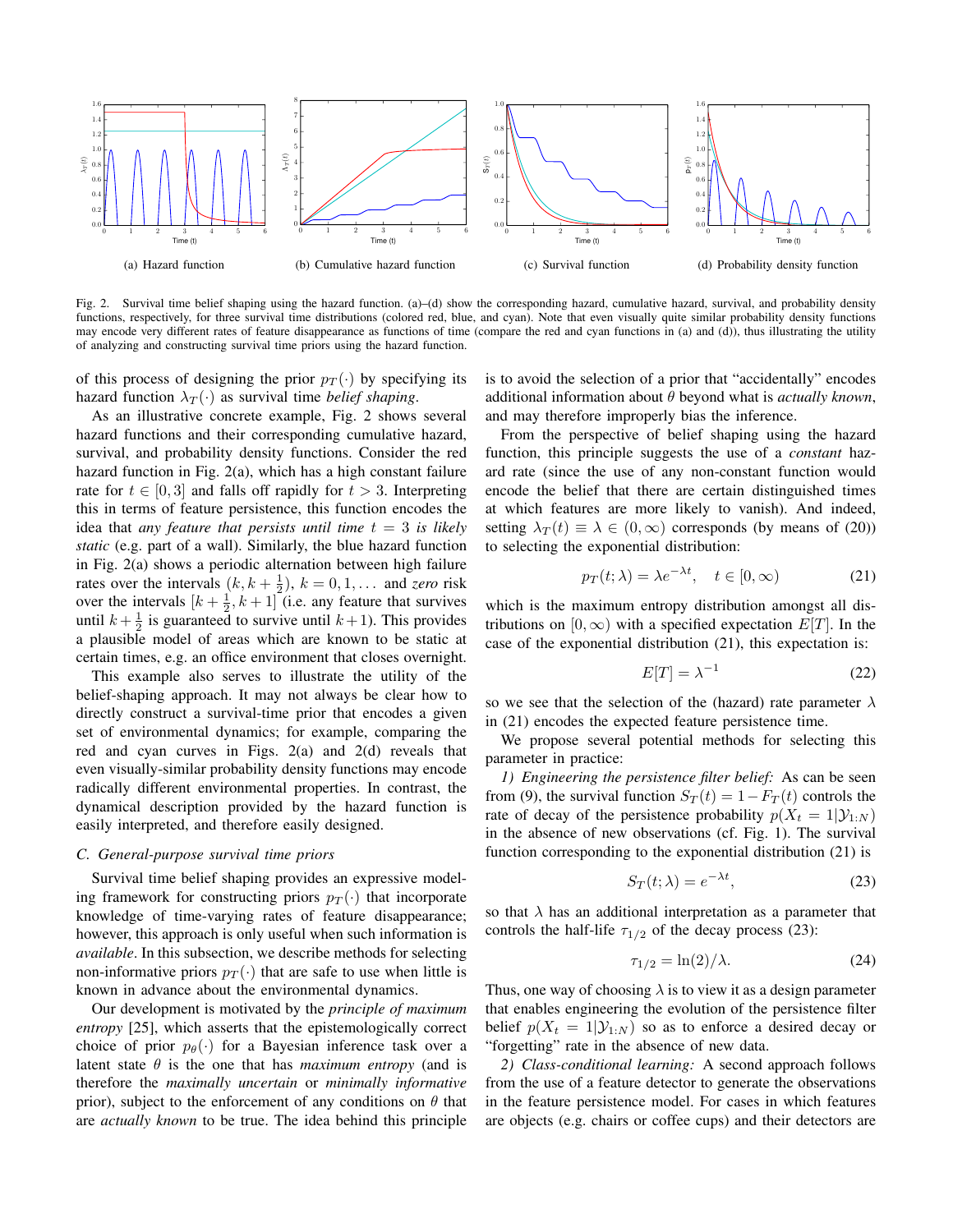<span id="page-5-0"></span>

<span id="page-5-2"></span>Fig. 2. Survival time belief shaping using the hazard function. [\(a\)](#page-5-0)[–\(d\)](#page-5-1) show the corresponding hazard, cumulative hazard, survival, and probability density functions, respectively, for three survival time distributions (colored red, blue, and cyan). Note that even visually quite similar probability density functions may encode very different rates of feature disappearance as functions of time (compare the red and cyan functions in [\(a\)](#page-5-0) and [\(d\)\)](#page-5-1), thus illustrating the utility of analyzing and constructing survival time priors using the hazard function.

of this process of designing the prior  $p_T(\cdot)$  by specifying its hazard function  $\lambda_T(\cdot)$  as survival time *belief shaping*.

As an illustrative concrete example, Fig. [2](#page-5-2) shows several hazard functions and their corresponding cumulative hazard, survival, and probability density functions. Consider the red hazard function in Fig. [2\(a\),](#page-5-0) which has a high constant failure rate for  $t \in [0, 3]$  and falls off rapidly for  $t > 3$ . Interpreting this in terms of feature persistence, this function encodes the idea that *any feature that persists until time*  $t = 3$  *is likely static* (e.g. part of a wall). Similarly, the blue hazard function in Fig. [2\(a\)](#page-5-0) shows a periodic alternation between high failure rates over the intervals  $(k, k + \frac{1}{2})$ ,  $k = 0, 1, \dots$  and *zero* risk over the intervals  $[k + \frac{1}{2}, k + 1]$  (i.e. any feature that survives until  $k + \frac{1}{2}$  is guaranteed to survive until  $k + 1$ ). This provides a plausible model of areas which are known to be static at certain times, e.g. an office environment that closes overnight.

This example also serves to illustrate the utility of the belief-shaping approach. It may not always be clear how to directly construct a survival-time prior that encodes a given set of environmental dynamics; for example, comparing the red and cyan curves in Figs. [2\(a\)](#page-5-0) and [2\(d\)](#page-5-1) reveals that even visually-similar probability density functions may encode radically different environmental properties. In contrast, the dynamical description provided by the hazard function is easily interpreted, and therefore easily designed.

#### *C. General-purpose survival time priors*

Survival time belief shaping provides an expressive modeling framework for constructing priors  $p_T(\cdot)$  that incorporate knowledge of time-varying rates of feature disappearance; however, this approach is only useful when such information is *available*. In this subsection, we describe methods for selecting non-informative priors  $p_T(\cdot)$  that are safe to use when little is known in advance about the environmental dynamics.

Our development is motivated by the *principle of maximum entropy* [\[25\]](#page-8-22), which asserts that the epistemologically correct choice of prior  $p_{\theta}(\cdot)$  for a Bayesian inference task over a latent state  $\theta$  is the one that has *maximum entropy* (and is therefore the *maximally uncertain* or *minimally informative* prior), subject to the enforcement of any conditions on  $\theta$  that are *actually known* to be true. The idea behind this principle <span id="page-5-1"></span>is to avoid the selection of a prior that "accidentally" encodes additional information about θ beyond what is *actually known*, and may therefore improperly bias the inference.

From the perspective of belief shaping using the hazard function, this principle suggests the use of a *constant* hazard rate (since the use of any non-constant function would encode the belief that there are certain distinguished times at which features are more likely to vanish). And indeed, setting  $\lambda_T(t) \equiv \lambda \in (0,\infty)$  corresponds (by means of [\(20\)](#page-4-9)) to selecting the exponential distribution:

<span id="page-5-3"></span>
$$
p_T(t; \lambda) = \lambda e^{-\lambda t}, \quad t \in [0, \infty)
$$
 (21)

which is the maximum entropy distribution amongst all distributions on  $[0, \infty)$  with a specified expectation  $E[T]$ . In the case of the exponential distribution [\(21\)](#page-5-3), this expectation is:

$$
E[T] = \lambda^{-1} \tag{22}
$$

so we see that the selection of the (hazard) rate parameter  $\lambda$ in [\(21\)](#page-5-3) encodes the expected feature persistence time.

We propose several potential methods for selecting this parameter in practice:

*1) Engineering the persistence filter belief:* As can be seen from [\(9\)](#page-3-12), the survival function  $S_T(t) = 1 - F_T(t)$  controls the rate of decay of the persistence probability  $p(X_t = 1 | Y_{1:N})$ in the absence of new observations (cf. Fig. [1\)](#page-1-1). The survival function corresponding to the exponential distribution [\(21\)](#page-5-3) is

<span id="page-5-4"></span>
$$
S_T(t; \lambda) = e^{-\lambda t},\tag{23}
$$

so that  $\lambda$  has an additional interpretation as a parameter that controls the half-life  $\tau_{1/2}$  of the decay process [\(23\)](#page-5-4):

<span id="page-5-5"></span>
$$
\tau_{1/2} = \ln(2)/\lambda. \tag{24}
$$

Thus, one way of choosing  $\lambda$  is to view it as a design parameter that enables engineering the evolution of the persistence filter belief  $p(X_t = 1 | Y_{1:N})$  so as to enforce a desired decay or "forgetting" rate in the absence of new data.

*2) Class-conditional learning:* A second approach follows from the use of a feature detector to generate the observations in the feature persistence model. For cases in which features are objects (e.g. chairs or coffee cups) and their detectors are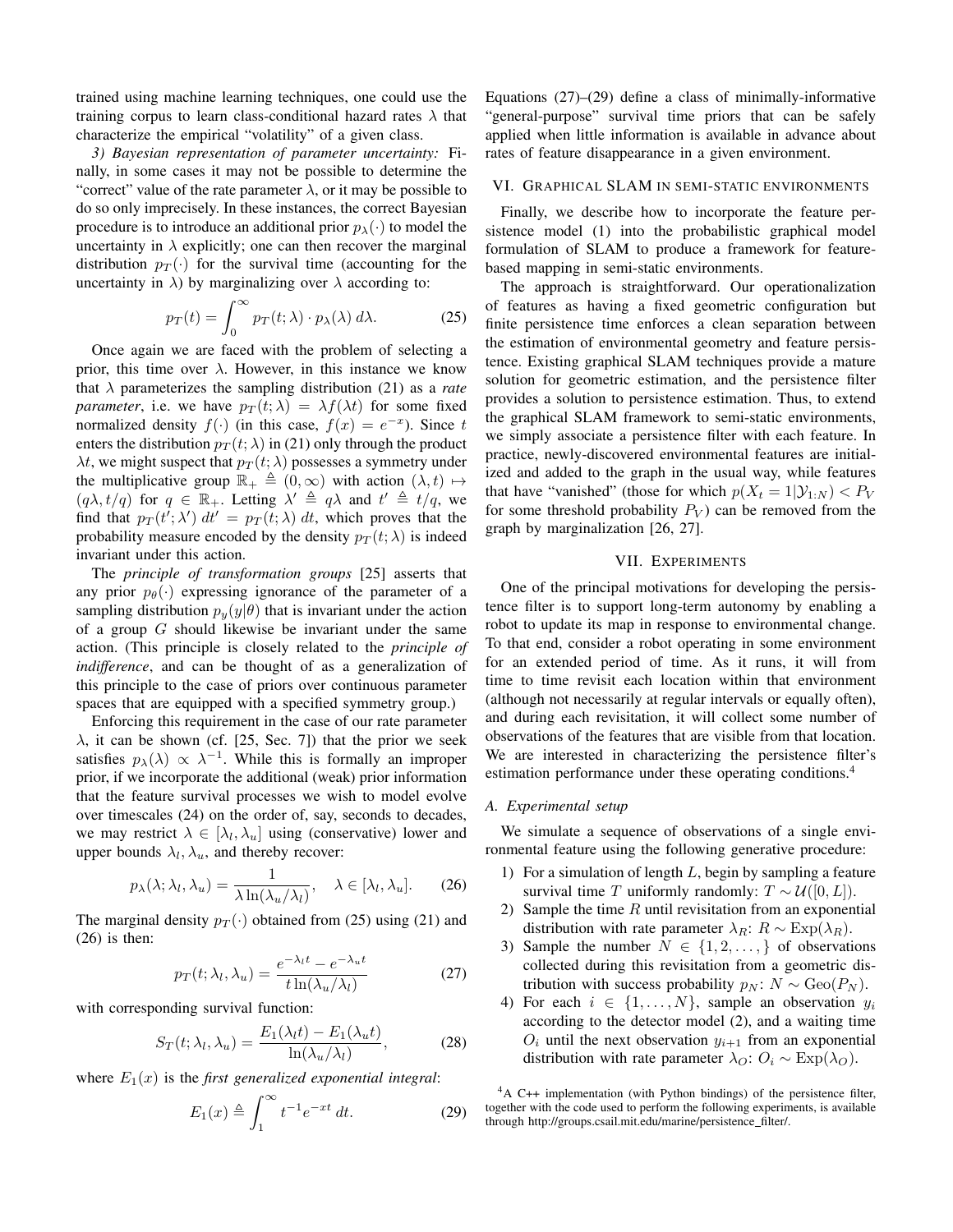trained using machine learning techniques, one could use the training corpus to learn class-conditional hazard rates  $\lambda$  that characterize the empirical "volatility" of a given class.

<span id="page-6-7"></span>*3) Bayesian representation of parameter uncertainty:* Finally, in some cases it may not be possible to determine the "correct" value of the rate parameter  $\lambda$ , or it may be possible to do so only imprecisely. In these instances, the correct Bayesian procedure is to introduce an additional prior  $p_{\lambda}(\cdot)$  to model the uncertainty in  $\lambda$  explicitly; one can then recover the marginal distribution  $p_T(\cdot)$  for the survival time (accounting for the uncertainty in  $\lambda$ ) by marginalizing over  $\lambda$  according to:

$$
p_T(t) = \int_0^\infty p_T(t; \lambda) \cdot p_\lambda(\lambda) d\lambda.
$$
 (25)

Once again we are faced with the problem of selecting a prior, this time over  $\lambda$ . However, in this instance we know that  $\lambda$  parameterizes the sampling distribution [\(21\)](#page-5-3) as a *rate parameter*, i.e. we have  $p_T(t; \lambda) = \lambda f(\lambda t)$  for some fixed normalized density  $f(\cdot)$  (in this case,  $f(x) = e^{-x}$ ). Since t enters the distribution  $p_T(t; \lambda)$  in [\(21\)](#page-5-3) only through the product  $\lambda t$ , we might suspect that  $p_T(t; \lambda)$  possesses a symmetry under the multiplicative group  $\mathbb{R}_+ \triangleq (0,\infty)$  with action  $(\lambda, t) \mapsto$  $(q\lambda, t/q)$  for  $q \in \mathbb{R}_+$ . Letting  $\lambda' \triangleq q\lambda$  and  $t' \triangleq t/q$ , we find that  $p_T(t'; \lambda') dt' = p_T(t; \lambda) dt$ , which proves that the probability measure encoded by the density  $p_T(t; \lambda)$  is indeed invariant under this action.

The *principle of transformation groups* [\[25\]](#page-8-22) asserts that any prior  $p_{\theta}(\cdot)$  expressing ignorance of the parameter of a sampling distribution  $p_y(y|\theta)$  that is invariant under the action of a group  $G$  should likewise be invariant under the same action. (This principle is closely related to the *principle of indifference*, and can be thought of as a generalization of this principle to the case of priors over continuous parameter spaces that are equipped with a specified symmetry group.)

Enforcing this requirement in the case of our rate parameter  $\lambda$ , it can be shown (cf. [\[25,](#page-8-22) Sec. 7]) that the prior we seek satisfies  $p_{\lambda}(\lambda) \propto \lambda^{-1}$ . While this is formally an improper prior, if we incorporate the additional (weak) prior information that the feature survival processes we wish to model evolve over timescales [\(24\)](#page-5-5) on the order of, say, seconds to decades, we may restrict  $\lambda \in [\lambda_l, \lambda_u]$  using (conservative) lower and upper bounds  $\lambda_l, \lambda_u$ , and thereby recover:

$$
p_{\lambda}(\lambda; \lambda_{l}, \lambda_{u}) = \frac{1}{\lambda \ln(\lambda_{u}/\lambda_{l})}, \quad \lambda \in [\lambda_{l}, \lambda_{u}].
$$
 (26)

The marginal density  $p_T(\cdot)$  obtained from [\(25\)](#page-6-0) using [\(21\)](#page-5-3) and [\(26\)](#page-6-1) is then:

<span id="page-6-2"></span>
$$
p_T(t; \lambda_l, \lambda_u) = \frac{e^{-\lambda_l t} - e^{-\lambda_u t}}{t \ln(\lambda_u/\lambda_l)}
$$
(27)

with corresponding survival function:

$$
S_T(t; \lambda_l, \lambda_u) = \frac{E_1(\lambda_l t) - E_1(\lambda_u t)}{\ln(\lambda_u/\lambda_l)},
$$
\n(28)

where  $E_1(x)$  is the *first generalized exponential integral*:

$$
E_1(x) \triangleq \int_1^{\infty} t^{-1} e^{-xt} dt.
$$
 (29)

Equations  $(27)$ – $(29)$  define a class of minimally-informative "general-purpose" survival time priors that can be safely applied when little information is available in advance about rates of feature disappearance in a given environment.

# <span id="page-6-6"></span>VI. GRAPHICAL SLAM IN SEMI-STATIC ENVIRONMENTS

Finally, we describe how to incorporate the feature persistence model [\(1\)](#page-3-0) into the probabilistic graphical model formulation of SLAM to produce a framework for featurebased mapping in semi-static environments.

<span id="page-6-0"></span>The approach is straightforward. Our operationalization of features as having a fixed geometric configuration but finite persistence time enforces a clean separation between the estimation of environmental geometry and feature persistence. Existing graphical SLAM techniques provide a mature solution for geometric estimation, and the persistence filter provides a solution to persistence estimation. Thus, to extend the graphical SLAM framework to semi-static environments, we simply associate a persistence filter with each feature. In practice, newly-discovered environmental features are initialized and added to the graph in the usual way, while features that have "vanished" (those for which  $p(X_t = 1 | Y_{1:N}) < P_V$ for some threshold probability  $P_V$ ) can be removed from the graph by marginalization [\[26,](#page-8-23) [27\]](#page-8-24).

#### VII. EXPERIMENTS

One of the principal motivations for developing the persistence filter is to support long-term autonomy by enabling a robot to update its map in response to environmental change. To that end, consider a robot operating in some environment for an extended period of time. As it runs, it will from time to time revisit each location within that environment (although not necessarily at regular intervals or equally often), and during each revisitation, it will collect some number of observations of the features that are visible from that location. We are interested in characterizing the persistence filter's estimation performance under these operating conditions.<sup>[4](#page-6-4)</sup>

#### <span id="page-6-5"></span>*A. Experimental setup*

<span id="page-6-1"></span>We simulate a sequence of observations of a single environmental feature using the following generative procedure:

- 1) For a simulation of length  $L$ , begin by sampling a feature survival time T uniformly randomly:  $T \sim \mathcal{U}([0, L])$ .
- 2) Sample the time  $R$  until revisitation from an exponential distribution with rate parameter  $\lambda_R$ :  $R \sim \text{Exp}(\lambda_R)$ .
- 3) Sample the number  $N \in \{1, 2, \ldots\}$  of observations collected during this revisitation from a geometric distribution with success probability  $p_N : N \sim \text{Geo}(P_N)$ .
- 4) For each  $i \in \{1, \ldots, N\}$ , sample an observation  $y_i$ according to the detector model [\(2\)](#page-3-3), and a waiting time  $O_i$  until the next observation  $y_{i+1}$  from an exponential distribution with rate parameter  $\lambda_O$ :  $O_i \sim \text{Exp}(\lambda_O)$ .

<span id="page-6-4"></span><span id="page-6-3"></span><sup>4</sup>A C++ implementation (with Python bindings) of the persistence filter, together with the code used to perform the following experiments, is available through [http://groups.csail.mit.edu/marine/persistence](http://groups.csail.mit.edu/marine/persistence_filter/)\_filter/.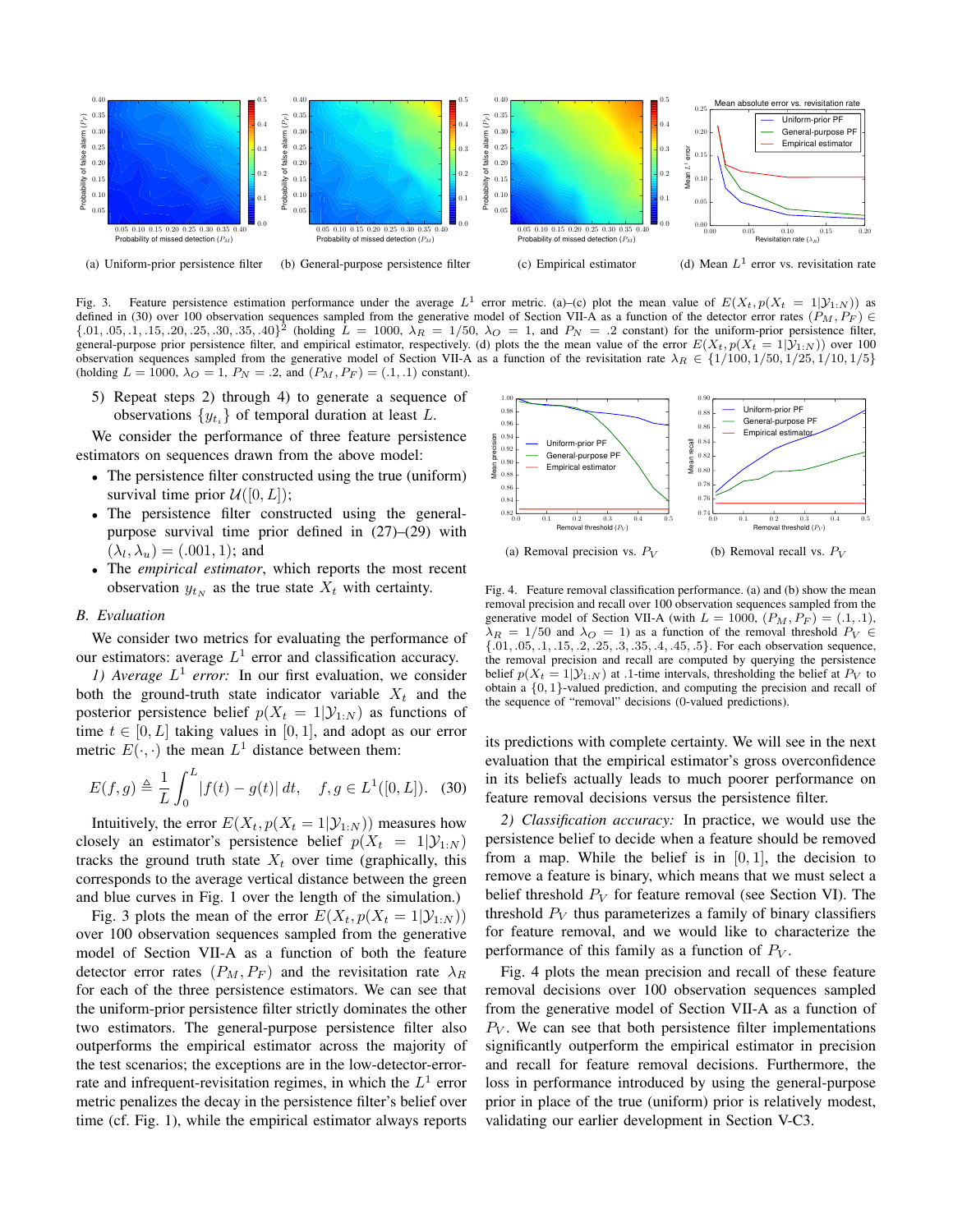<span id="page-7-0"></span>

Fig. 3. Feature persistence estimation performance under the average  $L^1$  error metric. [\(a\)](#page-7-0)[–\(c\)](#page-7-1) plot the mean value of  $E(X_t, p(X_t = 1 | Y_{1:N}))$  as defined in [\(30\)](#page-7-2) over 100 observation sequences sampled from the generative model of Section [VII-A](#page-6-5) as a function of the detector error rates  $(P_M, P_F) \in$  $\{.01, .05, .1, .15, .20, .25, .30, .35, .40\}^2$  (holding  $\tilde{L} = 1000$ ,  $\lambda_R = 1/50$ ,  $\lambda_Q = 1$ , and  $P_N = .2$  constant) for the uniform-prior persistence filter, general-purpose prior persistence filter, and empirical estimator, respectively. [\(d\)](#page-7-3) plots the the mean value of the error  $E(X_t, p(X_t = 1 | Y_{1:N})$  over 100 observation sequences sampled from the generative model of Section [VII-A](#page-6-5) as a function of the revisitation rate  $\lambda_R \in \{1/100, 1/50, 1/25, 1/10, 1/5\}$ (holding  $L = 1000$ ,  $\lambda_O = 1$ ,  $P_N = .2$ , and  $(P_M, P_F) = (.1, .1)$  constant).

5) Repeat steps 2) through 4) to generate a sequence of observations  $\{y_{t_i}\}\$  of temporal duration at least L.

We consider the performance of three feature persistence estimators on sequences drawn from the above model:

- The persistence filter constructed using the true (uniform) survival time prior  $\mathcal{U}([0,L])$ ;
- The persistence filter constructed using the generalpurpose survival time prior defined in [\(27\)](#page-6-2)–[\(29\)](#page-6-3) with  $(\lambda_l, \lambda_u) = (.001, 1);$  and
- The *empirical estimator*, which reports the most recent observation  $y_{t_N}$  as the true state  $X_t$  with certainty.

# *B. Evaluation*

We consider two metrics for evaluating the performance of our estimators: average  $L^1$  error and classification accuracy.

*1) Average* L 1 *error:* In our first evaluation, we consider both the ground-truth state indicator variable  $X_t$  and the posterior persistence belief  $p(X_t = 1 | Y_{1:N})$  as functions of time  $t \in [0, L]$  taking values in [0, 1], and adopt as our error metric  $E(\cdot, \cdot)$  the mean  $L^1$  distance between them:

$$
E(f,g) \triangleq \frac{1}{L} \int_0^L |f(t) - g(t)| dt, \quad f, g \in L^1([0, L]). \tag{30}
$$

Intuitively, the error  $E(X_t, p(X_t = 1 | Y_{1:N}))$  measures how closely an estimator's persistence belief  $p(X_t = 1 | Y_{1:N})$ tracks the ground truth state  $X_t$  over time (graphically, this corresponds to the average vertical distance between the green and blue curves in Fig. [1](#page-1-1) over the length of the simulation.)

Fig. [3](#page-7-4) plots the mean of the error  $E(X_t, p(X_t = 1 | Y_{1:N}))$ over 100 observation sequences sampled from the generative model of Section [VII-A](#page-6-5) as a function of both the feature detector error rates  $(P_M, P_F)$  and the revisitation rate  $\lambda_R$ for each of the three persistence estimators. We can see that the uniform-prior persistence filter strictly dominates the other two estimators. The general-purpose persistence filter also outperforms the empirical estimator across the majority of the test scenarios; the exceptions are in the low-detector-errorrate and infrequent-revisitation regimes, in which the  $L^1$  error metric penalizes the decay in the persistence filter's belief over time (cf. Fig. [1\)](#page-1-1), while the empirical estimator always reports

<span id="page-7-5"></span><span id="page-7-4"></span><span id="page-7-3"></span><span id="page-7-1"></span>

<span id="page-7-7"></span><span id="page-7-6"></span>Fig. 4. Feature removal classification performance. [\(a\)](#page-7-5) and [\(b\)](#page-7-6) show the mean removal precision and recall over 100 observation sequences sampled from the generative model of Section [VII-A](#page-6-5) (with  $L = 1000$ ,  $(P_M, P_F) = (.1, .1),$  $\bar{\lambda}_R = 1/50$  and  $\lambda_Q = 1$ ) as a function of the removal threshold  $P_V \in$  $\{.01, .05, .1, .15, .2, .25, .3, .35, .4, .45, .5\}$ . For each observation sequence, the removal precision and recall are computed by querying the persistence belief  $p(X_t = 1 | Y_{1:N})$  at .1-time intervals, thresholding the belief at  $P_V$  to obtain a {0, 1}-valued prediction, and computing the precision and recall of the sequence of "removal" decisions (0-valued predictions).

<span id="page-7-2"></span>its predictions with complete certainty. We will see in the next evaluation that the empirical estimator's gross overconfidence in its beliefs actually leads to much poorer performance on feature removal decisions versus the persistence filter.

*2) Classification accuracy:* In practice, we would use the persistence belief to decide when a feature should be removed from a map. While the belief is in  $[0, 1]$ , the decision to remove a feature is binary, which means that we must select a belief threshold  $P_V$  for feature removal (see Section [VI\)](#page-6-6). The threshold  $P_V$  thus parameterizes a family of binary classifiers for feature removal, and we would like to characterize the performance of this family as a function of  $P_V$ .

Fig. [4](#page-7-7) plots the mean precision and recall of these feature removal decisions over 100 observation sequences sampled from the generative model of Section [VII-A](#page-6-5) as a function of  $P_V$ . We can see that both persistence filter implementations significantly outperform the empirical estimator in precision and recall for feature removal decisions. Furthermore, the loss in performance introduced by using the general-purpose prior in place of the true (uniform) prior is relatively modest, validating our earlier development in Section [V-C3.](#page-6-7)